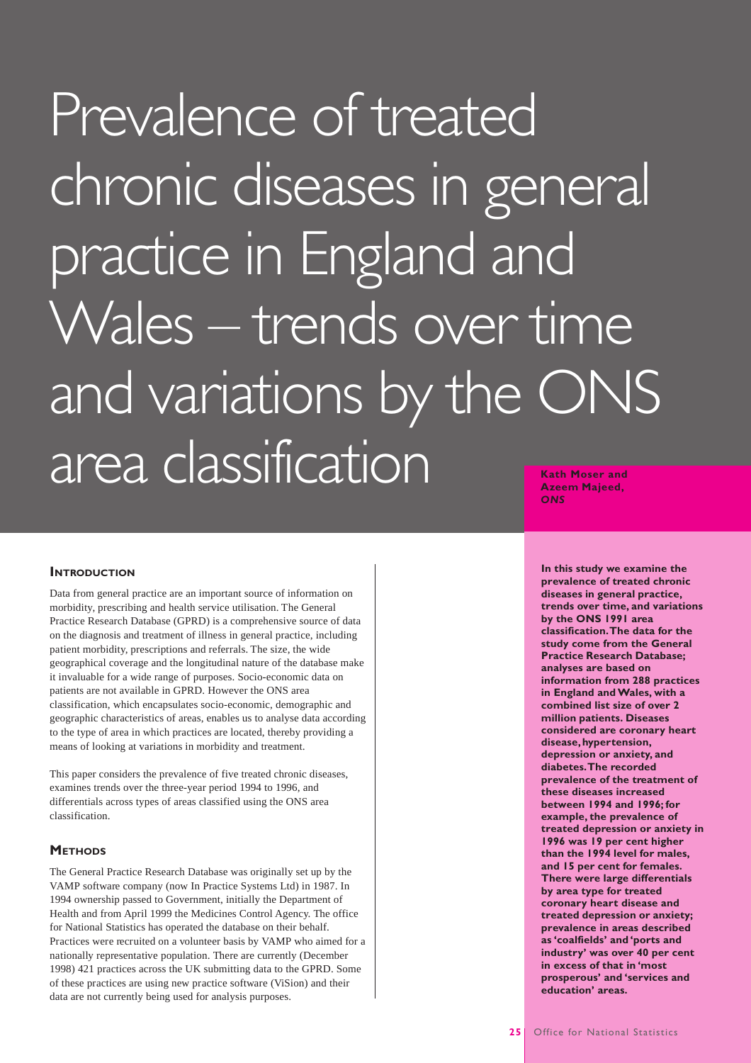# Prevalence of treated chronic diseases in general practice in England and Wales – trends over time and variations by the ONS area classification **Kath Moser and Azeem Majeed,**

**INTRODUCTION** 

Data from general practice are an important source of information on morbidity, prescribing and health service utilisation. The General Practice Research Database (GPRD) is a comprehensive source of data on the diagnosis and treatment of illness in general practice, including patient morbidity, prescriptions and referrals. The size, the wide geographical coverage and the longitudinal nature of the database make it invaluable for a wide range of purposes. Socio-economic data on patients are not available in GPRD. However the ONS area classification, which encapsulates socio-economic, demographic and geographic characteristics of areas, enables us to analyse data according to the type of area in which practices are located, thereby providing a means of looking at variations in morbidity and treatment.

This paper considers the prevalence of five treated chronic diseases, examines trends over the three-year period 1994 to 1996, and differentials across types of areas classified using the ONS area classification.

# **METHODS**

The General Practice Research Database was originally set up by the VAMP software company (now In Practice Systems Ltd) in 1987. In 1994 ownership passed to Government, initially the Department of Health and from April 1999 the Medicines Control Agency. The office for National Statistics has operated the database on their behalf. Practices were recruited on a volunteer basis by VAMP who aimed for a nationally representative population. There are currently (December 1998) 421 practices across the UK submitting data to the GPRD. Some of these practices are using new practice software (ViSion) and their data are not currently being used for analysis purposes.

*ONS*

**In this study we examine the prevalence of treated chronic diseases in general practice, trends over time, and variations by the ONS 1991 area classification. The data for the study come from the General Practice Research Database; analyses are based on information from 288 practices in England and Wales, with a combined list size of over 2 million patients. Diseases considered are coronary heart disease, hypertension, depression or anxiety, and diabetes. The recorded prevalence of the treatment of these diseases increased between 1994 and 1996; for example, the prevalence of treated depression or anxiety in 1996 was 19 per cent higher than the 1994 level for males, and 15 per cent for females. There were large differentials by area type for treated coronary heart disease and treated depression or anxiety; prevalence in areas described as 'coalfields' and 'ports and industry' was over 40 per cent in excess of that in 'most prosperous' and 'services and education' areas.**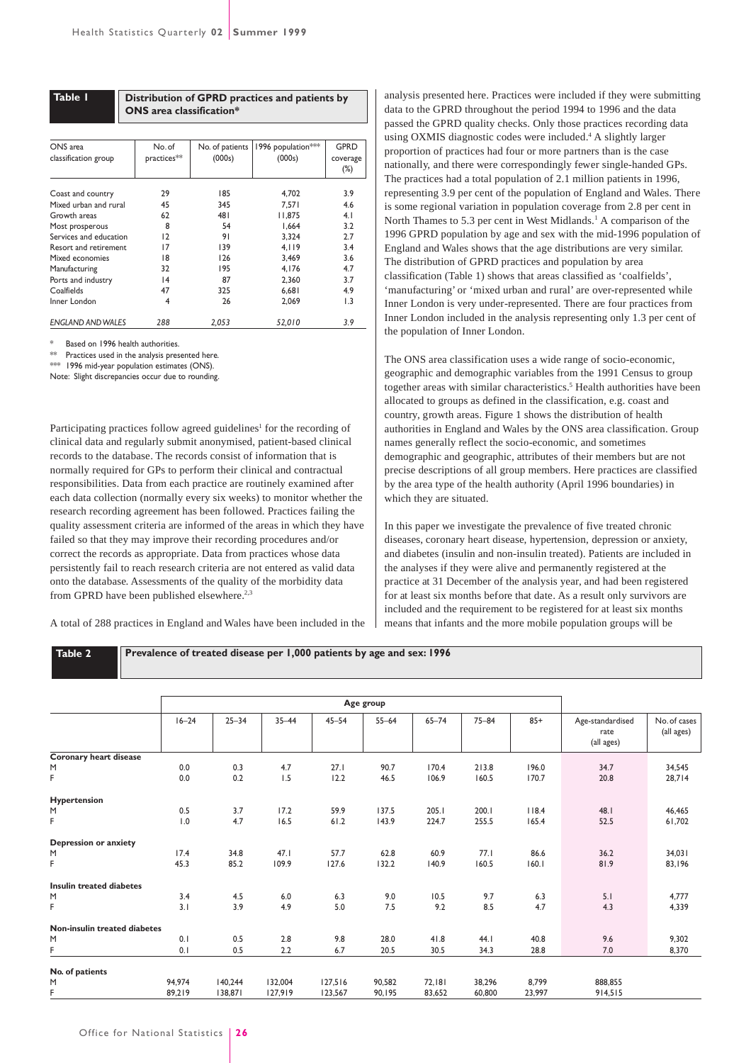| Table I                                                                                                       | Distribution of GPRD practices and patients by<br>ONS area classification* |                                                                    |                                                             |                                                     |  |  |  |  |  |
|---------------------------------------------------------------------------------------------------------------|----------------------------------------------------------------------------|--------------------------------------------------------------------|-------------------------------------------------------------|-----------------------------------------------------|--|--|--|--|--|
| ONS area<br>classification group                                                                              | No. of<br>practices**                                                      | No. of patients<br>(000s)                                          | 1996 population***<br>(000s)                                | GPRD<br>coverage<br>$(\%)$                          |  |  |  |  |  |
| Coast and country<br>Mixed urban and rural<br>Growth areas<br>Most prosperous<br>Services and education       | 29<br>45<br>62<br>8<br>12                                                  | 185<br>4,702<br>345<br>7.571<br>481<br>11.875<br>54<br>1.664<br>91 |                                                             | 3.9<br>4.6<br>4.1<br>3.2<br>2.7                     |  |  |  |  |  |
| Resort and retirement<br>Mixed economies<br>Manufacturing<br>Ports and industry<br>Coalfields<br>Inner London | 17<br>18<br>32<br> 4<br>47<br>4                                            | 139<br>126<br>195<br>87<br>325<br>26                               | 3.324<br>4.119<br>3.469<br>4.176<br>2.360<br>6,681<br>2.069 | 3.4<br>3.6<br>4.7<br>3.7<br>4.9<br>$\overline{1.3}$ |  |  |  |  |  |

*ENGLAND AND WALES 288 2,053 52,010 3.9*

Based on 1996 health authorities.

Practices used in the analysis presented here.

 $**$  1996 mid-year population estimates (ONS).

Note: Slight discrepancies occur due to rounding.

Participating practices follow agreed guidelines<sup>1</sup> for the recording of clinical data and regularly submit anonymised, patient-based clinical records to the database. The records consist of information that is normally required for GPs to perform their clinical and contractual responsibilities. Data from each practice are routinely examined after each data collection (normally every six weeks) to monitor whether the research recording agreement has been followed. Practices failing the quality assessment criteria are informed of the areas in which they have failed so that they may improve their recording procedures and/or correct the records as appropriate. Data from practices whose data persistently fail to reach research criteria are not entered as valid data onto the database. Assessments of the quality of the morbidity data from GPRD have been published elsewhere.<sup>2,3</sup>

A total of 288 practices in England and Wales have been included in the

analysis presented here. Practices were included if they were submitting data to the GPRD throughout the period 1994 to 1996 and the data passed the GPRD quality checks. Only those practices recording data using OXMIS diagnostic codes were included.4 A slightly larger proportion of practices had four or more partners than is the case nationally, and there were correspondingly fewer single-handed GPs. The practices had a total population of 2.1 million patients in 1996, representing 3.9 per cent of the population of England and Wales. There is some regional variation in population coverage from 2.8 per cent in North Thames to 5.3 per cent in West Midlands.<sup>1</sup> A comparison of the 1996 GPRD population by age and sex with the mid-1996 population of England and Wales shows that the age distributions are very similar. The distribution of GPRD practices and population by area classification (Table 1) shows that areas classified as 'coalfields', 'manufacturing' or 'mixed urban and rural' are over-represented while Inner London is very under-represented. There are four practices from Inner London included in the analysis representing only 1.3 per cent of the population of Inner London.

The ONS area classification uses a wide range of socio-economic, geographic and demographic variables from the 1991 Census to group together areas with similar characteristics.<sup>5</sup> Health authorities have been allocated to groups as defined in the classification, e.g. coast and country, growth areas. Figure 1 shows the distribution of health authorities in England and Wales by the ONS area classification. Group names generally reflect the socio-economic, and sometimes demographic and geographic, attributes of their members but are not precise descriptions of all group members. Here practices are classified by the area type of the health authority (April 1996 boundaries) in which they are situated.

In this paper we investigate the prevalence of five treated chronic diseases, coronary heart disease, hypertension, depression or anxiety, and diabetes (insulin and non-insulin treated). Patients are included in the analyses if they were alive and permanently registered at the practice at 31 December of the analysis year, and had been registered for at least six months before that date. As a result only survivors are included and the requirement to be registered for at least six months means that infants and the more mobile population groups will be

| Prevalence of treated disease per 1,000 patients by age and sex: 1996<br>Table 2 |            |            |            |              |              |                |                |                |                                        |                            |
|----------------------------------------------------------------------------------|------------|------------|------------|--------------|--------------|----------------|----------------|----------------|----------------------------------------|----------------------------|
|                                                                                  |            | Age group  |            |              |              |                |                |                |                                        |                            |
|                                                                                  | $16 - 24$  | $25 - 34$  | $35 - 44$  | $45 - 54$    | $55 - 64$    | $65 - 74$      | $75 - 84$      | $85+$          | Age-standardised<br>rate<br>(all ages) | No. of cases<br>(all ages) |
| Coronary heart disease                                                           |            |            |            |              |              |                |                |                |                                        |                            |
| M<br>F                                                                           | 0.0<br>0.0 | 0.3<br>0.2 | 4.7<br>1.5 | 27.1<br>12.2 | 90.7<br>46.5 | 170.4<br>106.9 | 213.8<br>160.5 | 196.0<br>170.7 | 34.7<br>20.8                           | 34,545<br>28,714           |
| <b>Hypertension</b>                                                              |            |            |            |              |              |                |                |                |                                        |                            |
| M                                                                                | 0.5        | 3.7        | 17.2       | 59.9         | 137.5        | 205.1          | 200.1          | 118.4          | 48.I                                   | 46,465                     |
| F                                                                                | 1.0        | 4.7        | 16.5       | 61.2         | 143.9        | 224.7          | 255.5          | 165.4          | 52.5                                   | 61,702                     |
| <b>Depression or anxiety</b>                                                     |            |            |            |              |              |                |                |                |                                        |                            |
| M                                                                                | 17.4       | 34.8       | 47.1       | 57.7         | 62.8         | 60.9           | 77.1           | 86.6           | 36.2                                   | 34,031                     |
| F                                                                                | 45.3       | 85.2       | 109.9      | 127.6        | 132.2        | 140.9          | 160.5          | 160.1          | 81.9                                   | 83,196                     |
| <b>Insulin treated diabetes</b>                                                  |            |            |            |              |              |                |                |                |                                        |                            |
| M                                                                                | 3.4        | 4.5        | 6.0        | 6.3          | 9.0          | 10.5           | 9.7            | 6.3            | 5.1                                    | 4,777                      |
| F                                                                                | 3.1        | 3.9        | 4.9        | 5.0          | 7.5          | 9.2            | 8.5            | 4.7            | 4.3                                    | 4,339                      |
| Non-insulin treated diabetes                                                     |            |            |            |              |              |                |                |                |                                        |                            |
| M                                                                                | 0.1        | 0.5        | 2.8        | 9.8          | 28.0         | 41.8           | 44.I           | 40.8           | 9.6                                    | 9,302                      |
| F                                                                                | 0.1        | 0.5        | 2.2        | 6.7          | 20.5         | 30.5           | 34.3           | 28.8           | 7.0                                    | 8,370                      |
| No. of patients                                                                  |            |            |            |              |              |                |                |                |                                        |                            |
| M                                                                                | 94,974     | 140,244    | 132,004    | 127,516      | 90,582       | 72,181         | 38,296         | 8,799          | 888,855                                |                            |
| F                                                                                | 89,219     | 138,871    | 127,919    | 123,567      | 90,195       | 83,652         | 60,800         | 23,997         | 914,515                                |                            |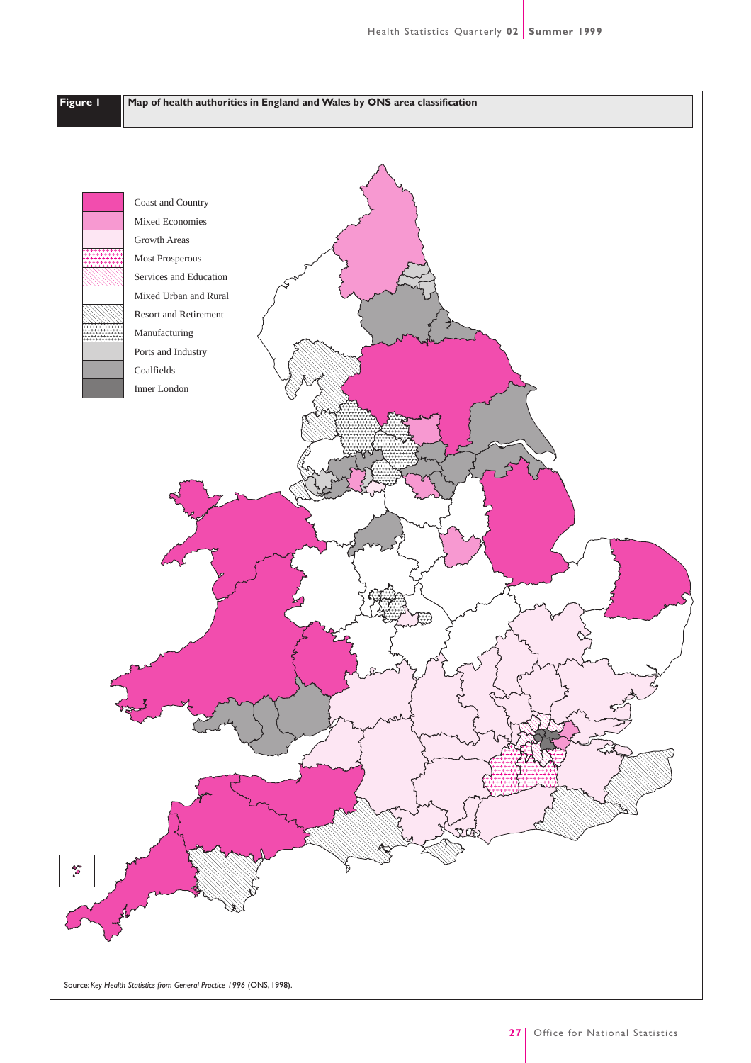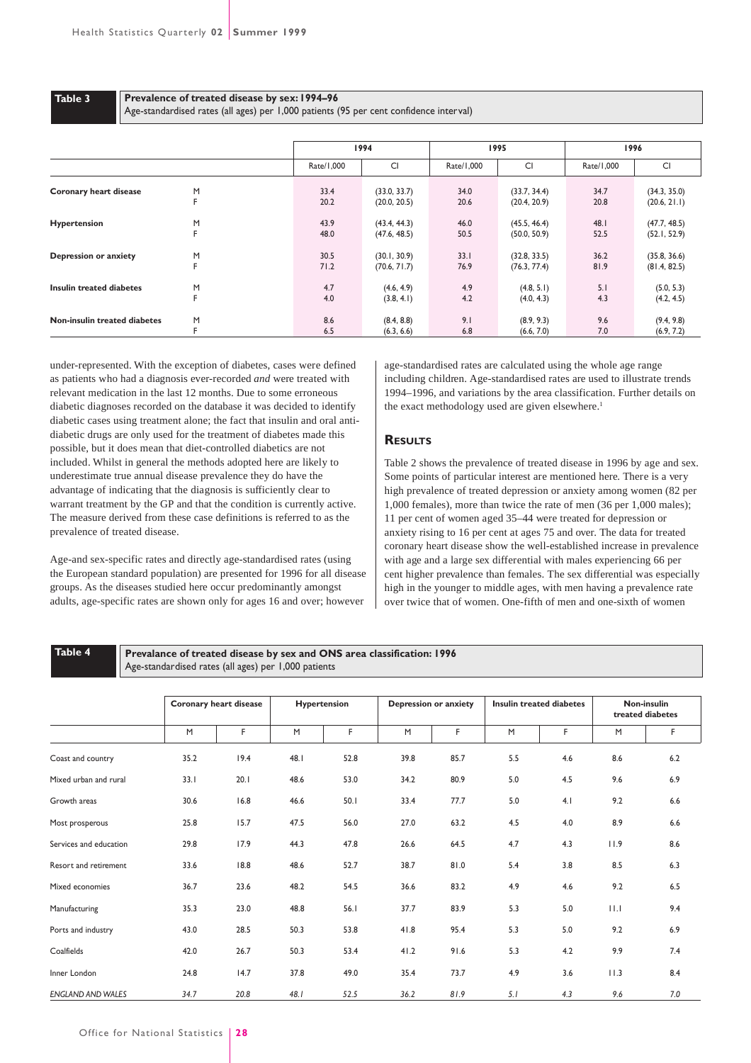```
Table 3
```
#### **Prevalence of treated disease by sex: 1994–96**

Age-standardised rates (all ages) per 1,000 patients (95 per cent confidence interval)

|                               |   | 1994       |              |            | 1995         | 1996       |              |
|-------------------------------|---|------------|--------------|------------|--------------|------------|--------------|
|                               |   | Rate/1,000 | CI           | Rate/1,000 | CI           | Rate/1,000 | CI           |
| <b>Coronary heart disease</b> | M | 33.4       | (33.0, 33.7) | 34.0       | (33.7, 34.4) | 34.7       | (34.3, 35.0) |
|                               | F | 20.2       | (20.0, 20.5) | 20.6       | (20.4, 20.9) | 20.8       | (20.6, 21.1) |
| <b>Hypertension</b>           | M | 43.9       | (43.4, 44.3) | 46.0       | (45.5, 46.4) | 48.I       | (47.7, 48.5) |
|                               | F | 48.0       | (47.6, 48.5) | 50.5       | (50.0, 50.9) | 52.5       | (52.1, 52.9) |
| <b>Depression or anxiety</b>  | M | 30.5       | (30.1, 30.9) | 33.1       | (32.8, 33.5) | 36.2       | (35.8, 36.6) |
|                               | F | 71.2       | (70.6, 71.7) | 76.9       | (76.3, 77.4) | 81.9       | (81.4, 82.5) |
| Insulin treated diabetes      | M | 4.7        | (4.6, 4.9)   | 4.9        | (4.8, 5.1)   | 5.1        | (5.0, 5.3)   |
|                               | F | 4.0        | (3.8, 4.1)   | 4.2        | (4.0, 4.3)   | 4.3        | (4.2, 4.5)   |
| Non-insulin treated diabetes  | M | 8.6        | (8.4, 8.8)   | 9.1        | (8.9, 9.3)   | 9.6        | (9.4, 9.8)   |
|                               | F | 6.5        | (6.3, 6.6)   | 6.8        | (6.6, 7.0)   | 7.0        | (6.9, 7.2)   |

under-represented. With the exception of diabetes, cases were defined as patients who had a diagnosis ever-recorded *and* were treated with relevant medication in the last 12 months. Due to some erroneous diabetic diagnoses recorded on the database it was decided to identify diabetic cases using treatment alone; the fact that insulin and oral antidiabetic drugs are only used for the treatment of diabetes made this possible, but it does mean that diet-controlled diabetics are not included. Whilst in general the methods adopted here are likely to underestimate true annual disease prevalence they do have the advantage of indicating that the diagnosis is sufficiently clear to warrant treatment by the GP and that the condition is currently active. The measure derived from these case definitions is referred to as the prevalence of treated disease.

Age-and sex-specific rates and directly age-standardised rates (using the European standard population) are presented for 1996 for all disease groups. As the diseases studied here occur predominantly amongst adults, age-specific rates are shown only for ages 16 and over; however

age-standardised rates are calculated using the whole age range including children. Age-standardised rates are used to illustrate trends 1994–1996, and variations by the area classification. Further details on the exact methodology used are given elsewhere.<sup>1</sup>

# **RESULTS**

Table 2 shows the prevalence of treated disease in 1996 by age and sex. Some points of particular interest are mentioned here. There is a very high prevalence of treated depression or anxiety among women (82 per 1,000 females), more than twice the rate of men (36 per 1,000 males); 11 per cent of women aged 35–44 were treated for depression or anxiety rising to 16 per cent at ages 75 and over. The data for treated coronary heart disease show the well-established increase in prevalence with age and a large sex differential with males experiencing 66 per cent higher prevalence than females. The sex differential was especially high in the younger to middle ages, with men having a prevalence rate over twice that of women. One-fifth of men and one-sixth of women

# **Table 4**

**Prevalance of treated disease by sex and ONS area classification: 1996** Age-standardised rates (all ages) per 1,000 patients

|                          |      | Coronary heart disease |      | <b>Hypertension</b> |      | <b>Depression or anxiety</b> |     | <b>Insulin treated diabetes</b> |      | Non-insulin<br>treated diabetes |  |
|--------------------------|------|------------------------|------|---------------------|------|------------------------------|-----|---------------------------------|------|---------------------------------|--|
|                          | M    | F.                     | M    | F                   | M    | F.                           | M   | F.                              | M    | F.                              |  |
| Coast and country        | 35.2 | 19.4                   | 48.I | 52.8                | 39.8 | 85.7                         | 5.5 | 4.6                             | 8.6  | 6.2                             |  |
| Mixed urban and rural    | 33.1 | 20.1                   | 48.6 | 53.0                | 34.2 | 80.9                         | 5.0 | 4.5                             | 9.6  | 6.9                             |  |
| Growth areas             | 30.6 | 16.8                   | 46.6 | 50.1                | 33.4 | 77.7                         | 5.0 | 4.1                             | 9.2  | 6.6                             |  |
| Most prosperous          | 25.8 | 15.7                   | 47.5 | 56.0                | 27.0 | 63.2                         | 4.5 | 4.0                             | 8.9  | 6.6                             |  |
| Services and education   | 29.8 | 17.9                   | 44.3 | 47.8                | 26.6 | 64.5                         | 4.7 | 4.3                             | 11.9 | 8.6                             |  |
| Resort and retirement    | 33.6 | 18.8                   | 48.6 | 52.7                | 38.7 | 81.0                         | 5.4 | 3.8                             | 8.5  | 6.3                             |  |
| Mixed economies          | 36.7 | 23.6                   | 48.2 | 54.5                | 36.6 | 83.2                         | 4.9 | 4.6                             | 9.2  | 6.5                             |  |
| Manufacturing            | 35.3 | 23.0                   | 48.8 | 56.1                | 37.7 | 83.9                         | 5.3 | 5.0                             | 11.1 | 9.4                             |  |
| Ports and industry       | 43.0 | 28.5                   | 50.3 | 53.8                | 41.8 | 95.4                         | 5.3 | 5.0                             | 9.2  | 6.9                             |  |
| Coalfields               | 42.0 | 26.7                   | 50.3 | 53.4                | 41.2 | 91.6                         | 5.3 | 4.2                             | 9.9  | 7.4                             |  |
| Inner London             | 24.8 | 14.7                   | 37.8 | 49.0                | 35.4 | 73.7                         | 4.9 | 3.6                             | 11.3 | 8.4                             |  |
| <b>ENGLAND AND WALES</b> | 34.7 | 20.8                   | 48.1 | 52.5                | 36.2 | 81.9                         | 5.1 | 4.3                             | 9.6  | 7.0                             |  |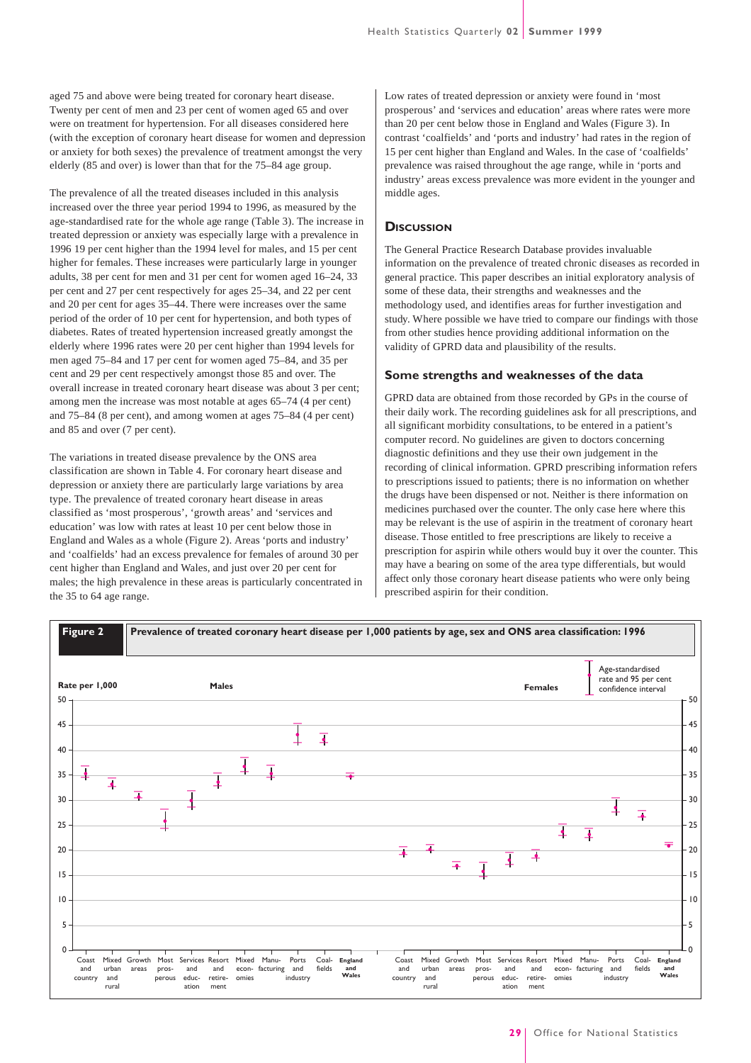aged 75 and above were being treated for coronary heart disease. Twenty per cent of men and 23 per cent of women aged 65 and over were on treatment for hypertension. For all diseases considered here (with the exception of coronary heart disease for women and depression or anxiety for both sexes) the prevalence of treatment amongst the very elderly (85 and over) is lower than that for the 75–84 age group.

The prevalence of all the treated diseases included in this analysis increased over the three year period 1994 to 1996, as measured by the age-standardised rate for the whole age range (Table 3). The increase in treated depression or anxiety was especially large with a prevalence in 1996 19 per cent higher than the 1994 level for males, and 15 per cent higher for females. These increases were particularly large in younger adults, 38 per cent for men and 31 per cent for women aged 16–24, 33 per cent and 27 per cent respectively for ages 25–34, and 22 per cent and 20 per cent for ages 35–44. There were increases over the same period of the order of 10 per cent for hypertension, and both types of diabetes. Rates of treated hypertension increased greatly amongst the elderly where 1996 rates were 20 per cent higher than 1994 levels for men aged 75–84 and 17 per cent for women aged 75–84, and 35 per cent and 29 per cent respectively amongst those 85 and over. The overall increase in treated coronary heart disease was about 3 per cent; among men the increase was most notable at ages 65–74 (4 per cent) and 75–84 (8 per cent), and among women at ages 75–84 (4 per cent) and 85 and over (7 per cent).

The variations in treated disease prevalence by the ONS area classification are shown in Table 4. For coronary heart disease and depression or anxiety there are particularly large variations by area type. The prevalence of treated coronary heart disease in areas classified as 'most prosperous', 'growth areas' and 'services and education' was low with rates at least 10 per cent below those in England and Wales as a whole (Figure 2). Areas 'ports and industry' and 'coalfields' had an excess prevalence for females of around 30 per cent higher than England and Wales, and just over 20 per cent for males; the high prevalence in these areas is particularly concentrated in the 35 to 64 age range.

Low rates of treated depression or anxiety were found in 'most prosperous' and 'services and education' areas where rates were more than 20 per cent below those in England and Wales (Figure 3). In contrast 'coalfields' and 'ports and industry' had rates in the region of 15 per cent higher than England and Wales. In the case of 'coalfields' prevalence was raised throughout the age range, while in 'ports and industry' areas excess prevalence was more evident in the younger and middle ages.

## **DISCUSSION**

The General Practice Research Database provides invaluable information on the prevalence of treated chronic diseases as recorded in general practice. This paper describes an initial exploratory analysis of some of these data, their strengths and weaknesses and the methodology used, and identifies areas for further investigation and study. Where possible we have tried to compare our findings with those from other studies hence providing additional information on the validity of GPRD data and plausibility of the results.

#### **Some strengths and weaknesses of the data**

GPRD data are obtained from those recorded by GPs in the course of their daily work. The recording guidelines ask for all prescriptions, and all significant morbidity consultations, to be entered in a patient's computer record. No guidelines are given to doctors concerning diagnostic definitions and they use their own judgement in the recording of clinical information. GPRD prescribing information refers to prescriptions issued to patients; there is no information on whether the drugs have been dispensed or not. Neither is there information on medicines purchased over the counter. The only case here where this may be relevant is the use of aspirin in the treatment of coronary heart disease. Those entitled to free prescriptions are likely to receive a prescription for aspirin while others would buy it over the counter. This may have a bearing on some of the area type differentials, but would affect only those coronary heart disease patients who were only being prescribed aspirin for their condition.

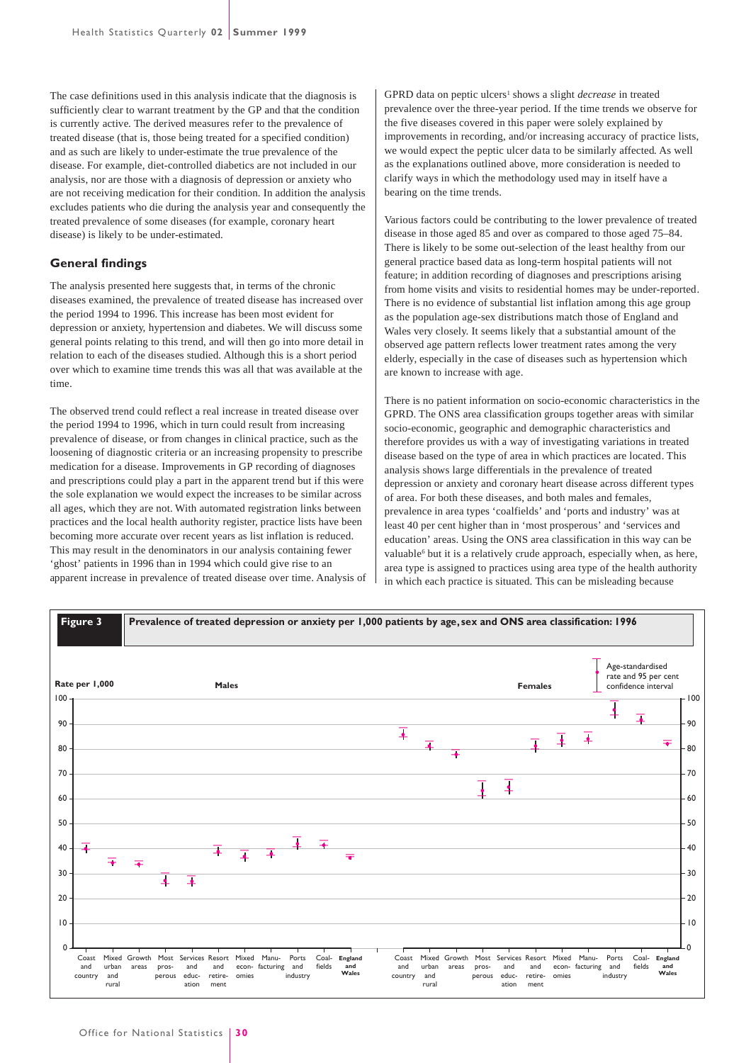The case definitions used in this analysis indicate that the diagnosis is sufficiently clear to warrant treatment by the GP and that the condition is currently active. The derived measures refer to the prevalence of treated disease (that is, those being treated for a specified condition) and as such are likely to under-estimate the true prevalence of the disease. For example, diet-controlled diabetics are not included in our analysis, nor are those with a diagnosis of depression or anxiety who are not receiving medication for their condition. In addition the analysis excludes patients who die during the analysis year and consequently the treated prevalence of some diseases (for example, coronary heart disease) is likely to be under-estimated.

### **General findings**

The analysis presented here suggests that, in terms of the chronic diseases examined, the prevalence of treated disease has increased over the period 1994 to 1996. This increase has been most evident for depression or anxiety, hypertension and diabetes. We will discuss some general points relating to this trend, and will then go into more detail in relation to each of the diseases studied. Although this is a short period over which to examine time trends this was all that was available at the time.

The observed trend could reflect a real increase in treated disease over the period 1994 to 1996, which in turn could result from increasing prevalence of disease, or from changes in clinical practice, such as the loosening of diagnostic criteria or an increasing propensity to prescribe medication for a disease. Improvements in GP recording of diagnoses and prescriptions could play a part in the apparent trend but if this were the sole explanation we would expect the increases to be similar across all ages, which they are not. With automated registration links between practices and the local health authority register, practice lists have been becoming more accurate over recent years as list inflation is reduced. This may result in the denominators in our analysis containing fewer 'ghost' patients in 1996 than in 1994 which could give rise to an apparent increase in prevalence of treated disease over time. Analysis of GPRD data on peptic ulcers<sup>1</sup> shows a slight *decrease* in treated prevalence over the three-year period. If the time trends we observe for the five diseases covered in this paper were solely explained by improvements in recording, and/or increasing accuracy of practice lists, we would expect the peptic ulcer data to be similarly affected. As well as the explanations outlined above, more consideration is needed to clarify ways in which the methodology used may in itself have a bearing on the time trends.

Various factors could be contributing to the lower prevalence of treated disease in those aged 85 and over as compared to those aged 75–84. There is likely to be some out-selection of the least healthy from our general practice based data as long-term hospital patients will not feature; in addition recording of diagnoses and prescriptions arising from home visits and visits to residential homes may be under-reported. There is no evidence of substantial list inflation among this age group as the population age-sex distributions match those of England and Wales very closely. It seems likely that a substantial amount of the observed age pattern reflects lower treatment rates among the very elderly, especially in the case of diseases such as hypertension which are known to increase with age.

There is no patient information on socio-economic characteristics in the GPRD. The ONS area classification groups together areas with similar socio-economic, geographic and demographic characteristics and therefore provides us with a way of investigating variations in treated disease based on the type of area in which practices are located. This analysis shows large differentials in the prevalence of treated depression or anxiety and coronary heart disease across different types of area. For both these diseases, and both males and females, prevalence in area types 'coalfields' and 'ports and industry' was at least 40 per cent higher than in 'most prosperous' and 'services and education' areas. Using the ONS area classification in this way can be valuable<sup>6</sup> but it is a relatively crude approach, especially when, as here, area type is assigned to practices using area type of the health authority in which each practice is situated. This can be misleading because

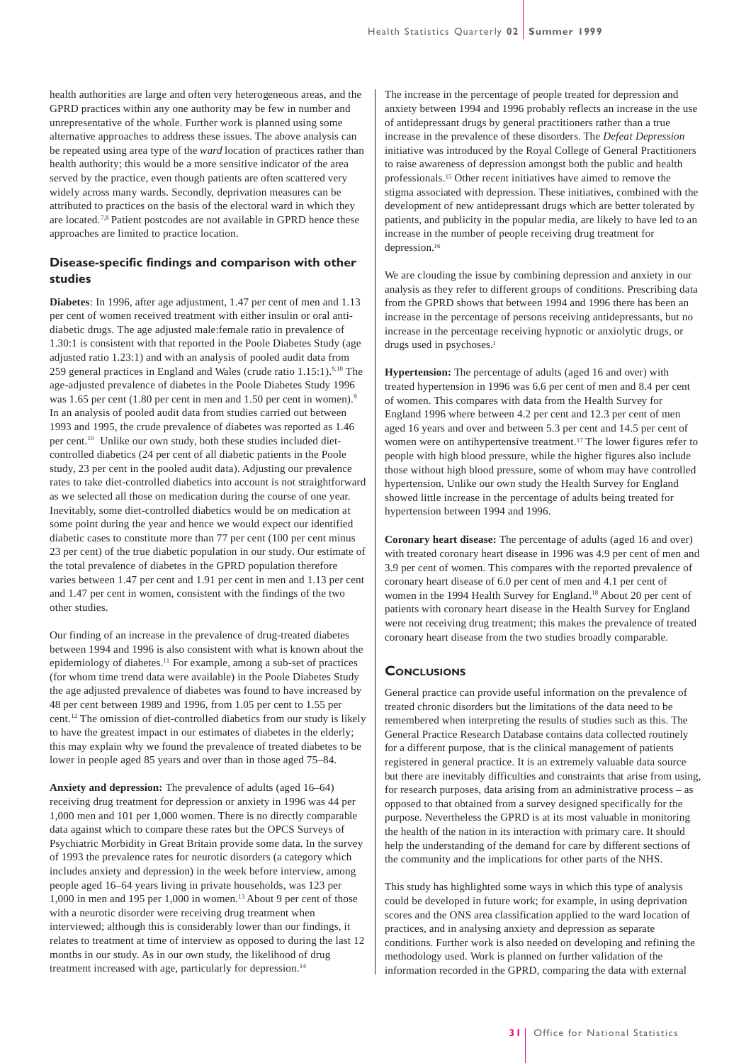health authorities are large and often very heterogeneous areas, and the GPRD practices within any one authority may be few in number and unrepresentative of the whole. Further work is planned using some alternative approaches to address these issues. The above analysis can be repeated using area type of the *ward* location of practices rather than health authority; this would be a more sensitive indicator of the area served by the practice, even though patients are often scattered very widely across many wards. Secondly, deprivation measures can be attributed to practices on the basis of the electoral ward in which they are located.7,8 Patient postcodes are not available in GPRD hence these approaches are limited to practice location.

# **Disease-specific findings and comparison with other studies**

**Diabetes**: In 1996, after age adjustment, 1.47 per cent of men and 1.13 per cent of women received treatment with either insulin or oral antidiabetic drugs. The age adjusted male:female ratio in prevalence of 1.30:1 is consistent with that reported in the Poole Diabetes Study (age adjusted ratio 1.23:1) and with an analysis of pooled audit data from 259 general practices in England and Wales (crude ratio 1.15:1).<sup>9,10</sup> The age-adjusted prevalence of diabetes in the Poole Diabetes Study 1996 was 1.65 per cent (1.80 per cent in men and 1.50 per cent in women).<sup>9</sup> In an analysis of pooled audit data from studies carried out between 1993 and 1995, the crude prevalence of diabetes was reported as 1.46 per cent.10 Unlike our own study, both these studies included dietcontrolled diabetics (24 per cent of all diabetic patients in the Poole study, 23 per cent in the pooled audit data). Adjusting our prevalence rates to take diet-controlled diabetics into account is not straightforward as we selected all those on medication during the course of one year. Inevitably, some diet-controlled diabetics would be on medication at some point during the year and hence we would expect our identified diabetic cases to constitute more than 77 per cent (100 per cent minus 23 per cent) of the true diabetic population in our study. Our estimate of the total prevalence of diabetes in the GPRD population therefore varies between 1.47 per cent and 1.91 per cent in men and 1.13 per cent and 1.47 per cent in women, consistent with the findings of the two other studies.

Our finding of an increase in the prevalence of drug-treated diabetes between 1994 and 1996 is also consistent with what is known about the epidemiology of diabetes.11 For example, among a sub-set of practices (for whom time trend data were available) in the Poole Diabetes Study the age adjusted prevalence of diabetes was found to have increased by 48 per cent between 1989 and 1996, from 1.05 per cent to 1.55 per cent.12 The omission of diet-controlled diabetics from our study is likely to have the greatest impact in our estimates of diabetes in the elderly; this may explain why we found the prevalence of treated diabetes to be lower in people aged 85 years and over than in those aged 75–84.

**Anxiety and depression:** The prevalence of adults (aged 16–64) receiving drug treatment for depression or anxiety in 1996 was 44 per 1,000 men and 101 per 1,000 women. There is no directly comparable data against which to compare these rates but the OPCS Surveys of Psychiatric Morbidity in Great Britain provide some data. In the survey of 1993 the prevalence rates for neurotic disorders (a category which includes anxiety and depression) in the week before interview, among people aged 16–64 years living in private households, was 123 per 1,000 in men and 195 per 1,000 in women.13 About 9 per cent of those with a neurotic disorder were receiving drug treatment when interviewed; although this is considerably lower than our findings, it relates to treatment at time of interview as opposed to during the last 12 months in our study. As in our own study, the likelihood of drug treatment increased with age, particularly for depression.<sup>14</sup>

The increase in the percentage of people treated for depression and anxiety between 1994 and 1996 probably reflects an increase in the use of antidepressant drugs by general practitioners rather than a true increase in the prevalence of these disorders. The *Defeat Depression* initiative was introduced by the Royal College of General Practitioners to raise awareness of depression amongst both the public and health professionals.15 Other recent initiatives have aimed to remove the stigma associated with depression. These initiatives, combined with the development of new antidepressant drugs which are better tolerated by patients, and publicity in the popular media, are likely to have led to an increase in the number of people receiving drug treatment for depression.16

We are clouding the issue by combining depression and anxiety in our analysis as they refer to different groups of conditions. Prescribing data from the GPRD shows that between 1994 and 1996 there has been an increase in the percentage of persons receiving antidepressants, but no increase in the percentage receiving hypnotic or anxiolytic drugs, or drugs used in psychoses.<sup>1</sup>

**Hypertension:** The percentage of adults (aged 16 and over) with treated hypertension in 1996 was 6.6 per cent of men and 8.4 per cent of women. This compares with data from the Health Survey for England 1996 where between 4.2 per cent and 12.3 per cent of men aged 16 years and over and between 5.3 per cent and 14.5 per cent of women were on antihypertensive treatment.<sup>17</sup> The lower figures refer to people with high blood pressure, while the higher figures also include those without high blood pressure, some of whom may have controlled hypertension. Unlike our own study the Health Survey for England showed little increase in the percentage of adults being treated for hypertension between 1994 and 1996.

**Coronary heart disease:** The percentage of adults (aged 16 and over) with treated coronary heart disease in 1996 was 4.9 per cent of men and 3.9 per cent of women. This compares with the reported prevalence of coronary heart disease of 6.0 per cent of men and 4.1 per cent of women in the 1994 Health Survey for England.<sup>18</sup> About 20 per cent of patients with coronary heart disease in the Health Survey for England were not receiving drug treatment; this makes the prevalence of treated coronary heart disease from the two studies broadly comparable.

#### **CONCLUSIONS**

General practice can provide useful information on the prevalence of treated chronic disorders but the limitations of the data need to be remembered when interpreting the results of studies such as this. The General Practice Research Database contains data collected routinely for a different purpose, that is the clinical management of patients registered in general practice. It is an extremely valuable data source but there are inevitably difficulties and constraints that arise from using, for research purposes, data arising from an administrative process – as opposed to that obtained from a survey designed specifically for the purpose. Nevertheless the GPRD is at its most valuable in monitoring the health of the nation in its interaction with primary care. It should help the understanding of the demand for care by different sections of the community and the implications for other parts of the NHS.

This study has highlighted some ways in which this type of analysis could be developed in future work; for example, in using deprivation scores and the ONS area classification applied to the ward location of practices, and in analysing anxiety and depression as separate conditions. Further work is also needed on developing and refining the methodology used. Work is planned on further validation of the information recorded in the GPRD, comparing the data with external